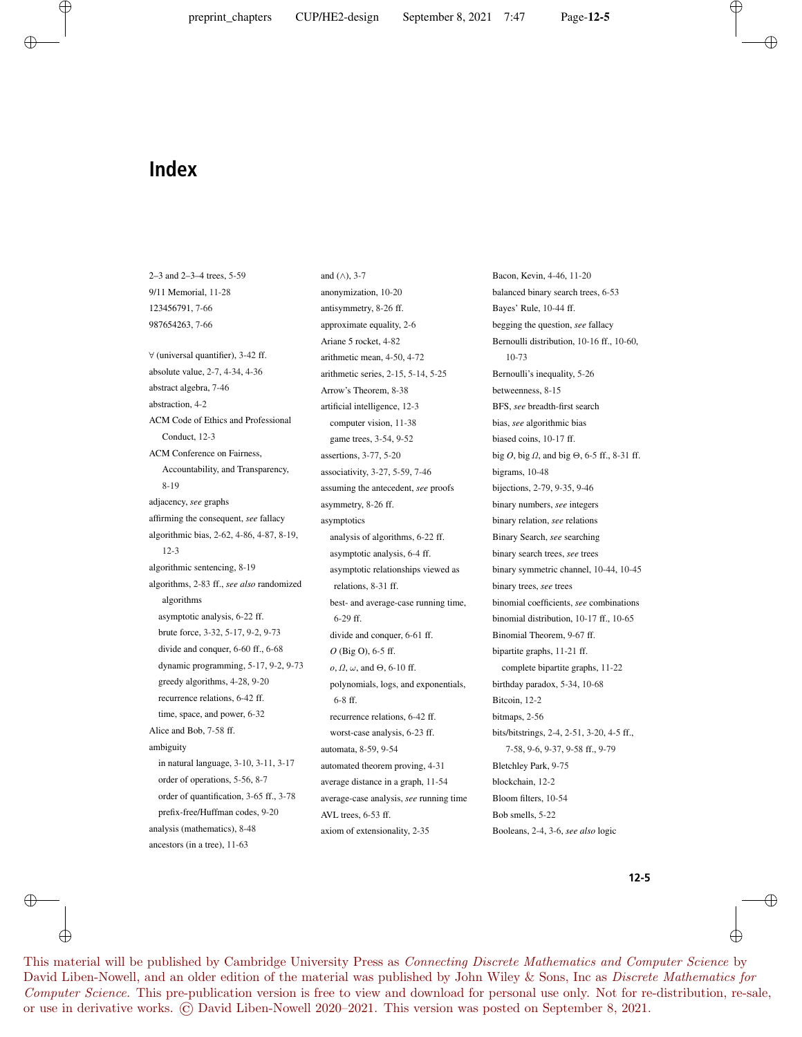and  $(\wedge)$ , 3-7

## **Index**

 $\oplus$ 

⊕

2–3 and 2–3–4 trees, 5-59 9/11 Memorial, 11-28 123456791, 7-66 987654263, 7-66 ∀ (universal quantifier), 3-42 ff. absolute value, 2-7, 4-34, 4-36 abstract algebra, 7-46 abstraction, 4-2 ACM Code of Ethics and Professional Conduct, 12-3 ACM Conference on Fairness, Accountability, and Transparency, 8-19 adjacency, *see* graphs affirming the consequent, *see* fallacy algorithmic bias, 2-62, 4-86, 4-87, 8-19, 12-3 algorithmic sentencing, 8-19 algorithms, 2-83 ff., *see also* randomized algorithms asymptotic analysis, 6-22 ff. brute force, 3-32, 5-17, 9-2, 9-73 divide and conquer, 6-60 ff., 6-68 dynamic programming, 5-17, 9-2, 9-73 greedy algorithms, 4-28, 9-20 recurrence relations, 6-42 ff. time, space, and power, 6-32 Alice and Bob, 7-58 ff. ambiguity in natural language, 3-10, 3-11, 3-17 order of operations, 5-56, 8-7 order of quantification, 3-65 ff., 3-78 prefix-free/Huffman codes, 9-20 analysis (mathematics), 8-48 ancestors (in a tree), 11-63

### anonymization, 10-20 antisymmetry, 8-26 ff. approximate equality, 2-6 Ariane 5 rocket, 4-82 arithmetic mean, 4-50, 4-72 arithmetic series, 2-15, 5-14, 5-25 Arrow's Theorem, 8-38 artificial intelligence, 12-3 computer vision, 11-38 game trees, 3-54, 9-52 assertions, 3-77, 5-20 associativity, 3-27, 5-59, 7-46 assuming the antecedent, *see* proofs asymmetry, 8-26 ff. asymptotics analysis of algorithms, 6-22 ff. asymptotic analysis, 6-4 ff. asymptotic relationships viewed as relations, 8-31 ff. best- and average-case running time, 6-29 ff. divide and conquer, 6-61 ff. *O* (Big O), 6-5 ff.  $o, \Omega, \omega$ , and  $\Theta$ , 6-10 ff. polynomials, logs, and exponentials, 6-8 ff. recurrence relations, 6-42 ff. worst-case analysis, 6-23 ff.

automata, 8-59, 9-54 automated theorem proving, 4-31 average distance in a graph, 11-54 average-case analysis, *see* running time AVL trees, 6-53 ff.

axiom of extensionality, 2-35

Bacon, Kevin, 4-46, 11-20 balanced binary search trees, 6-53 Bayes' Rule, 10-44 ff. begging the question, *see* fallacy Bernoulli distribution, 10-16 ff., 10-60, 10-73 Bernoulli's inequality, 5-26 betweenness, 8-15 BFS, *see* breadth-first search bias, *see* algorithmic bias biased coins, 10-17 ff. big *O*, big *Ω*, and big Θ, 6-5 ff., 8-31 ff. bigrams, 10-48 bijections, 2-79, 9-35, 9-46 binary numbers, *see* integers binary relation, *see* relations Binary Search, *see* searching binary search trees, *see* trees binary symmetric channel, 10-44, 10-45 binary trees, *see* trees binomial coefficients, *see* combinations binomial distribution, 10-17 ff., 10-65 Binomial Theorem, 9-67 ff. bipartite graphs, 11-21 ff. complete bipartite graphs, 11-22 birthday paradox, 5-34, 10-68 Bitcoin, 12-2 bitmaps, 2-56 bits/bitstrings, 2-4, 2-51, 3-20, 4-5 ff., 7-58, 9-6, 9-37, 9-58 ff., 9-79 Bletchley Park, 9-75 blockchain, 12-2 Bloom filters, 10-54 Bob smells, 5-22 Booleans, 2-4, 3-6, *see also* logic

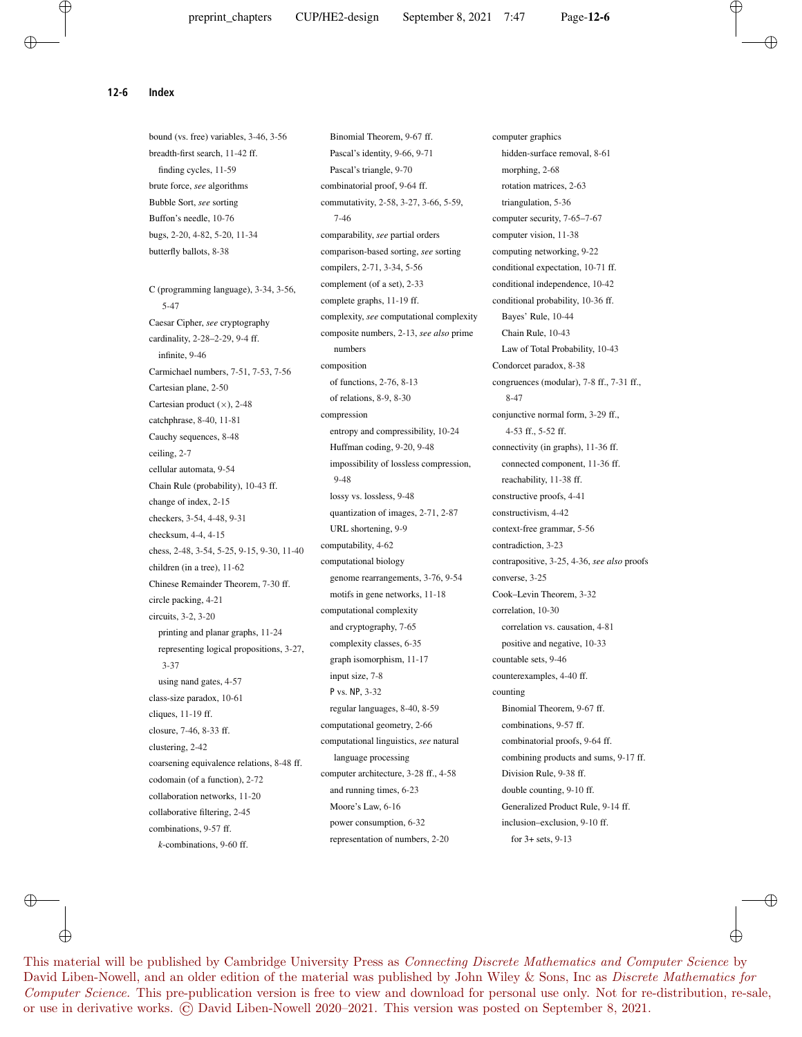**12-6 Index**

bound (vs. free) variables, 3-46, 3-56 breadth-first search, 11-42 ff. finding cycles, 11-59 brute force, *see* algorithms Bubble Sort, *see* sorting Buffon's needle, 10-76 bugs, 2-20, 4-82, 5-20, 11-34 butterfly ballots, 8-38 C (programming language), 3-34, 3-56, 5-47 Caesar Cipher, *see* cryptography cardinality, 2-28–2-29, 9-4 ff. infinite, 9-46 Carmichael numbers, 7-51, 7-53, 7-56 Cartesian plane, 2-50 Cartesian product  $(\times)$ , 2-48 catchphrase, 8-40, 11-81 Cauchy sequences, 8-48 ceiling, 2-7 cellular automata, 9-54 Chain Rule (probability), 10-43 ff. change of index, 2-15 checkers, 3-54, 4-48, 9-31 checksum, 4-4, 4-15 chess, 2-48, 3-54, 5-25, 9-15, 9-30, 11-40 children (in a tree), 11-62 Chinese Remainder Theorem, 7-30 ff. circle packing, 4-21 circuits, 3-2, 3-20 printing and planar graphs, 11-24 representing logical propositions, 3-27, 3-37 using nand gates, 4-57 class-size paradox, 10-61 cliques, 11-19 ff. closure, 7-46, 8-33 ff. clustering, 2-42 coarsening equivalence relations, 8-48 ff. codomain (of a function), 2-72 collaboration networks, 11-20 collaborative filtering, 2-45 combinations, 9-57 ff. *k*-combinations, 9-60 ff.

Binomial Theorem, 9-67 ff. Pascal's identity, 9-66, 9-71 Pascal's triangle, 9-70 combinatorial proof, 9-64 ff. commutativity, 2-58, 3-27, 3-66, 5-59, 7-46 comparability, *see* partial orders comparison-based sorting, *see* sorting compilers, 2-71, 3-34, 5-56 complement (of a set), 2-33 complete graphs, 11-19 ff. complexity, *see* computational complexity composite numbers, 2-13, *see also* prime numbers composition of functions, 2-76, 8-13 of relations, 8-9, 8-30 compression entropy and compressibility, 10-24 Huffman coding, 9-20, 9-48 impossibility of lossless compression, 9-48 lossy vs. lossless, 9-48 quantization of images, 2-71, 2-87 URL shortening, 9-9 computability, 4-62 computational biology genome rearrangements, 3-76, 9-54 motifs in gene networks, 11-18 computational complexity and cryptography, 7-65 complexity classes, 6-35 graph isomorphism, 11-17 input size, 7-8 P vs. NP, 3-32 regular languages, 8-40, 8-59 computational geometry, 2-66 computational linguistics, *see* natural language processing computer architecture, 3-28 ff., 4-58 and running times, 6-23 Moore's Law, 6-16 power consumption, 6-32 representation of numbers, 2-20

computer graphics hidden-surface removal, 8-61 morphing, 2-68 rotation matrices, 2-63 triangulation, 5-36 computer security, 7-65–7-67 computer vision, 11-38 computing networking, 9-22 conditional expectation, 10-71 ff. conditional independence, 10-42 conditional probability, 10-36 ff. Bayes' Rule, 10-44 Chain Rule, 10-43 Law of Total Probability, 10-43 Condorcet paradox, 8-38 congruences (modular), 7-8 ff., 7-31 ff., 8-47 conjunctive normal form, 3-29 ff., 4-53 ff., 5-52 ff. connectivity (in graphs), 11-36 ff. connected component, 11-36 ff. reachability, 11-38 ff. constructive proofs, 4-41 constructivism, 4-42 context-free grammar, 5-56 contradiction, 3-23 contrapositive, 3-25, 4-36, *see also* proofs converse, 3-25 Cook–Levin Theorem, 3-32 correlation, 10-30 correlation vs. causation, 4-81 positive and negative, 10-33 countable sets, 9-46 counterexamples, 4-40 ff. counting Binomial Theorem, 9-67 ff. combinations, 9-57 ff. combinatorial proofs, 9-64 ff. combining products and sums, 9-17 ff. Division Rule, 9-38 ff. double counting, 9-10 ff. Generalized Product Rule, 9-14 ff. inclusion–exclusion, 9-10 ff. for 3+ sets, 9-13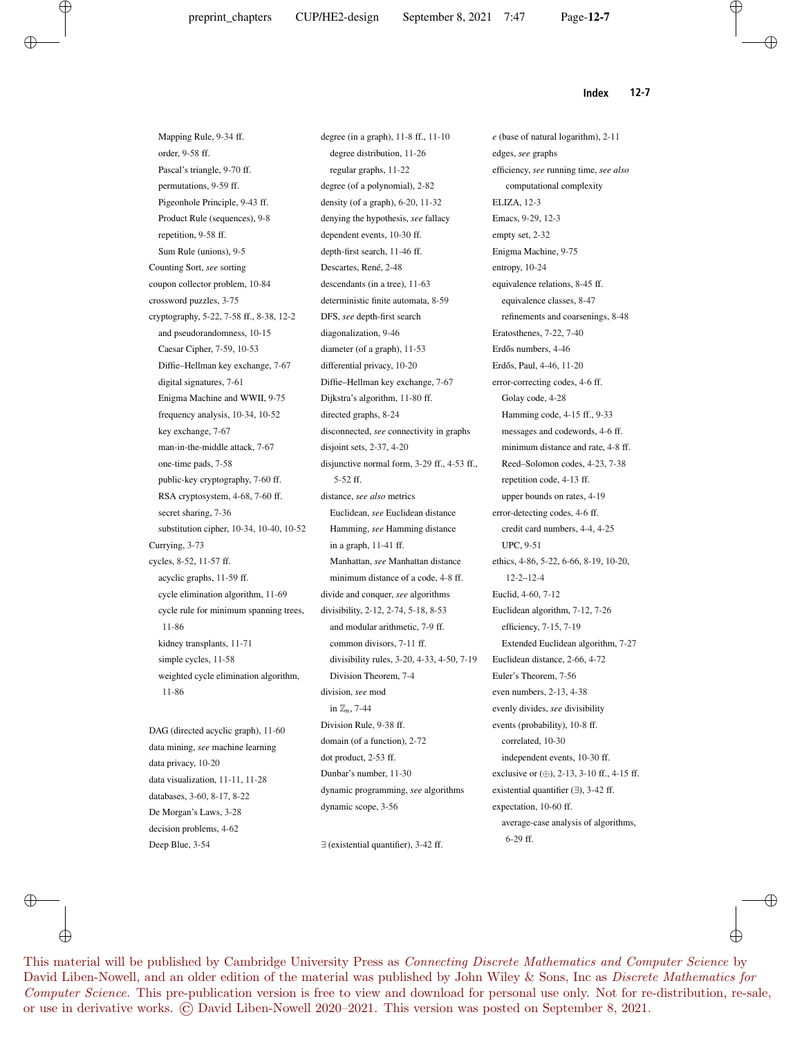**Index 12-7**

Mapping Rule, 9-34 ff. order, 9-58 ff. Pascal's triangle, 9-70 ff. permutations, 9-59 ff. Pigeonhole Principle, 9-43 ff. Product Rule (sequences), 9-8 repetition, 9-58 ff. Sum Rule (unions), 9-5 Counting Sort, *see* sorting coupon collector problem, 10-84 crossword puzzles, 3-75 cryptography, 5-22, 7-58 ff., 8-38, 12-2 and pseudorandomness, 10-15 Caesar Cipher, 7-59, 10-53 Diffie–Hellman key exchange, 7-67 digital signatures, 7-61 Enigma Machine and WWII, 9-75 frequency analysis, 10-34, 10-52 key exchange, 7-67 man-in-the-middle attack, 7-67 one-time pads, 7-58 public-key cryptography, 7-60 ff. RSA cryptosystem, 4-68, 7-60 ff. secret sharing, 7-36 substitution cipher, 10-34, 10-40, 10-52 Currying, 3-73 cycles, 8-52, 11-57 ff. acyclic graphs, 11-59 ff. cycle elimination algorithm, 11-69 cycle rule for minimum spanning trees, 11-86 kidney transplants, 11-71 simple cycles, 11-58 weighted cycle elimination algorithm, 11-86 DAG (directed acyclic graph), 11-60

data mining, *see* machine learning data privacy, 10-20 data visualization, 11-11, 11-28 databases, 3-60, 8-17, 8-22 De Morgan's Laws, 3-28 decision problems, 4-62 Deep Blue, 3-54

degree (in a graph), 11-8 ff., 11-10 degree distribution, 11-26 regular graphs, 11-22 degree (of a polynomial), 2-82 density (of a graph), 6-20, 11-32 denying the hypothesis, *see* fallacy dependent events, 10-30 ff. depth-first search, 11-46 ff. Descartes, René, 2-48 descendants (in a tree), 11-63 deterministic finite automata, 8-59 DFS, *see* depth-first search diagonalization, 9-46 diameter (of a graph), 11-53 differential privacy, 10-20 Diffie–Hellman key exchange, 7-67 Dijkstra's algorithm, 11-80 ff. directed graphs, 8-24 disconnected, *see* connectivity in graphs disjoint sets, 2-37, 4-20 disjunctive normal form, 3-29 ff., 4-53 ff., 5-52 ff. distance, *see also* metrics Euclidean, *see* Euclidean distance Hamming, *see* Hamming distance in a graph, 11-41 ff. Manhattan, *see* Manhattan distance minimum distance of a code, 4-8 ff. divide and conquer, *see* algorithms divisibility, 2-12, 2-74, 5-18, 8-53 and modular arithmetic, 7-9 ff. common divisors, 7-11 ff. divisibility rules, 3-20, 4-33, 4-50, 7-19 Division Theorem, 7-4 division, *see* mod in Z*n*, 7-44 Division Rule, 9-38 ff. domain (of a function), 2-72 dot product, 2-53 ff. Dunbar's number, 11-30 dynamic programming, *see* algorithms dynamic scope, 3-56

∃ (existential quantifier), 3-42 ff.

*e* (base of natural logarithm), 2-11 edges, *see* graphs efficiency, *see* running time, *see also* computational complexity ELIZA, 12-3 Emacs, 9-29, 12-3 empty set, 2-32 Enigma Machine, 9-75 entropy, 10-24 equivalence relations, 8-45 ff. equivalence classes, 8-47 refinements and coarsenings, 8-48 Eratosthenes, 7-22, 7-40 Erdős numbers, 4-46 Erdős, Paul, 4-46, 11-20 error-correcting codes, 4-6 ff. Golay code, 4-28 Hamming code, 4-15 ff., 9-33 messages and codewords, 4-6 ff. minimum distance and rate, 4-8 ff. Reed–Solomon codes, 4-23, 7-38 repetition code, 4-13 ff. upper bounds on rates, 4-19 error-detecting codes, 4-6 ff. credit card numbers, 4-4, 4-25 UPC, 9-51 ethics, 4-86, 5-22, 6-66, 8-19, 10-20, 12-2–12-4 Euclid, 4-60, 7-12 Euclidean algorithm, 7-12, 7-26 efficiency, 7-15, 7-19 Extended Euclidean algorithm, 7-27 Euclidean distance, 2-66, 4-72 Euler's Theorem, 7-56 even numbers, 2-13, 4-38 evenly divides, *see* divisibility events (probability), 10-8 ff. correlated, 10-30 independent events, 10-30 ff. exclusive or (⊕), 2-13, 3-10 ff., 4-15 ff. existential quantifier (∃), 3-42 ff. expectation, 10-60 ff. average-case analysis of algorithms, 6-29 ff.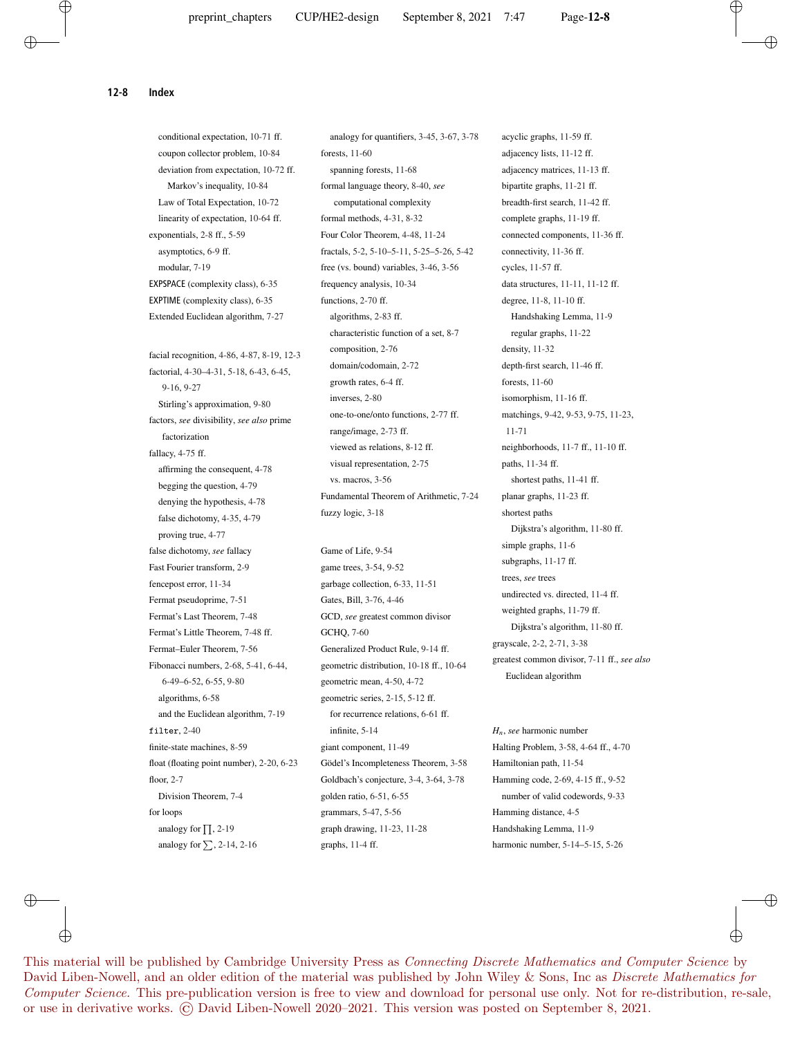**12-8 Index**

conditional expectation, 10-71 ff. coupon collector problem, 10-84 deviation from expectation, 10-72 ff. Markov's inequality, 10-84 Law of Total Expectation, 10-72 linearity of expectation, 10-64 ff. exponentials, 2-8 ff., 5-59 asymptotics, 6-9 ff. modular, 7-19 EXPSPACE (complexity class), 6-35 EXPTIME (complexity class), 6-35 Extended Euclidean algorithm, 7-27 facial recognition, 4-86, 4-87, 8-19, 12-3 factorial, 4-30–4-31, 5-18, 6-43, 6-45, 9-16, 9-27 Stirling's approximation, 9-80 factors, *see* divisibility, *see also* prime factorization fallacy, 4-75 ff. affirming the consequent, 4-78 begging the question, 4-79 denying the hypothesis, 4-78 false dichotomy, 4-35, 4-79 proving true, 4-77 false dichotomy, *see* fallacy Fast Fourier transform, 2-9 fencepost error, 11-34 Fermat pseudoprime, 7-51 Fermat's Last Theorem, 7-48 Fermat's Little Theorem, 7-48 ff. Fermat–Euler Theorem, 7-56 Fibonacci numbers, 2-68, 5-41, 6-44, 6-49–6-52, 6-55, 9-80 algorithms, 6-58 and the Euclidean algorithm, 7-19 filter, 2-40 finite-state machines, 8-59 float (floating point number), 2-20, 6-23 floor, 2-7 Division Theorem, 7-4 for loops analogy for  $\prod$ , 2-19 analogy for  $\Sigma$ , 2-14, 2-16

analogy for quantifiers, 3-45, 3-67, 3-78 forests, 11-60 spanning forests, 11-68 formal language theory, 8-40, *see* computational complexity formal methods, 4-31, 8-32 Four Color Theorem, 4-48, 11-24 fractals, 5-2, 5-10–5-11, 5-25–5-26, 5-42 free (vs. bound) variables, 3-46, 3-56 frequency analysis, 10-34 functions, 2-70 ff. algorithms, 2-83 ff. characteristic function of a set, 8-7 composition, 2-76 domain/codomain, 2-72 growth rates, 6-4 ff. inverses, 2-80 one-to-one/onto functions, 2-77 ff. range/image, 2-73 ff. viewed as relations, 8-12 ff. visual representation, 2-75 vs. macros, 3-56 Fundamental Theorem of Arithmetic, 7-24 fuzzy logic, 3-18

Game of Life, 9-54 game trees, 3-54, 9-52 garbage collection, 6-33, 11-51 Gates, Bill, 3-76, 4-46 GCD, *see* greatest common divisor GCHQ, 7-60 Generalized Product Rule, 9-14 ff. geometric distribution, 10-18 ff., 10-64 geometric mean, 4-50, 4-72 geometric series, 2-15, 5-12 ff. for recurrence relations, 6-61 ff. infinite, 5-14 giant component, 11-49 Gödel's Incompleteness Theorem, 3-58 Goldbach's conjecture, 3-4, 3-64, 3-78 golden ratio, 6-51, 6-55 grammars, 5-47, 5-56 graph drawing, 11-23, 11-28 graphs, 11-4 ff.

acyclic graphs, 11-59 ff. adjacency lists, 11-12 ff. adjacency matrices, 11-13 ff. bipartite graphs, 11-21 ff. breadth-first search, 11-42 ff. complete graphs, 11-19 ff. connected components, 11-36 ff. connectivity, 11-36 ff. cycles, 11-57 ff. data structures, 11-11, 11-12 ff. degree, 11-8, 11-10 ff. Handshaking Lemma, 11-9 regular graphs, 11-22 density, 11-32 depth-first search, 11-46 ff. forests, 11-60 isomorphism, 11-16 ff. matchings, 9-42, 9-53, 9-75, 11-23, 11-71 neighborhoods, 11-7 ff., 11-10 ff. paths, 11-34 ff. shortest paths, 11-41 ff. planar graphs, 11-23 ff. shortest paths Dijkstra's algorithm, 11-80 ff. simple graphs, 11-6 subgraphs, 11-17 ff. trees, *see* trees undirected vs. directed, 11-4 ff. weighted graphs, 11-79 ff. Dijkstra's algorithm, 11-80 ff. grayscale, 2-2, 2-71, 3-38 greatest common divisor, 7-11 ff., *see also* Euclidean algorithm

*Hn*, *see* harmonic number Halting Problem, 3-58, 4-64 ff., 4-70 Hamiltonian path, 11-54 Hamming code, 2-69, 4-15 ff., 9-52 number of valid codewords, 9-33 Hamming distance, 4-5 Handshaking Lemma, 11-9 harmonic number, 5-14–5-15, 5-26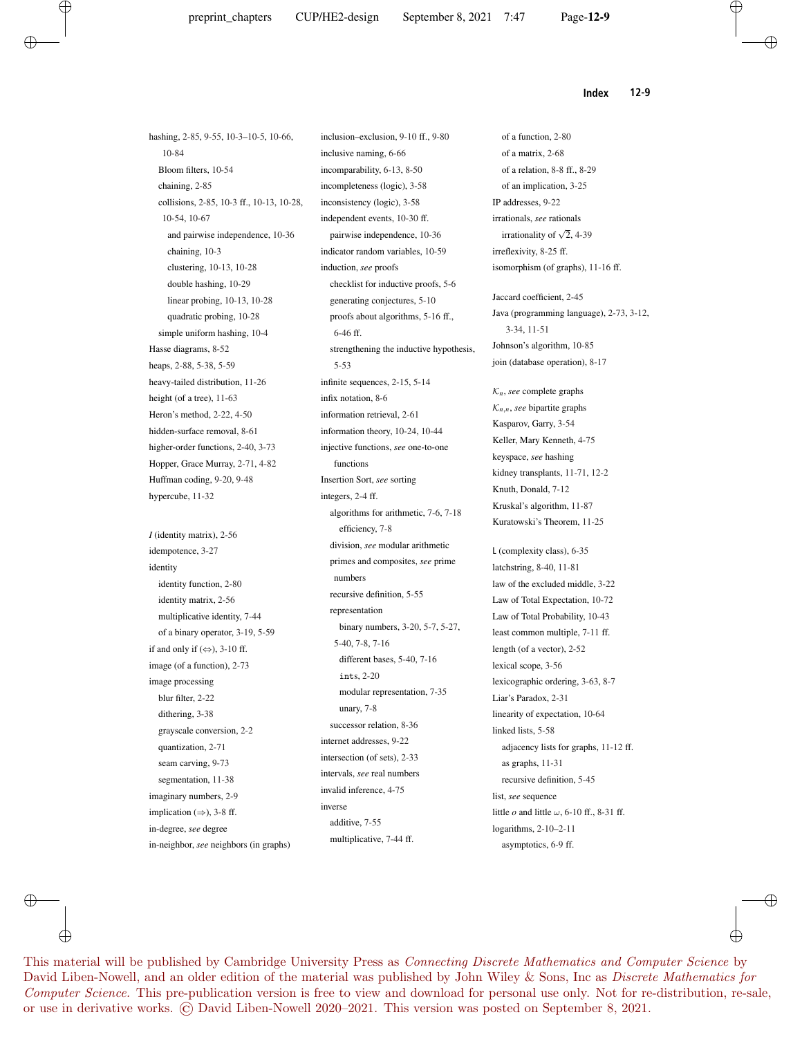$\oplus$ 

**Index 12-9**

hashing, 2-85, 9-55, 10-3–10-5, 10-66, 10-84 Bloom filters, 10-54 chaining, 2-85 collisions, 2-85, 10-3 ff., 10-13, 10-28, 10-54, 10-67 and pairwise independence, 10-36 chaining, 10-3 clustering, 10-13, 10-28 double hashing, 10-29 linear probing, 10-13, 10-28 quadratic probing, 10-28 simple uniform hashing, 10-4 Hasse diagrams, 8-52 heaps, 2-88, 5-38, 5-59 heavy-tailed distribution, 11-26 height (of a tree), 11-63 Heron's method, 2-22, 4-50 hidden-surface removal, 8-61 higher-order functions, 2-40, 3-73 Hopper, Grace Murray, 2-71, 4-82 Huffman coding, 9-20, 9-48 hypercube, 11-32 *I* (identity matrix), 2-56 idempotence, 3-27 identity identity function, 2-80 identity matrix, 2-56 multiplicative identity, 7-44 of a binary operator, 3-19, 5-59 if and only if  $(\Leftrightarrow)$ , 3-10 ff. image (of a function), 2-73 image processing

blur filter, 2-22 dithering, 3-38 grayscale conversion, 2-2 quantization, 2-71 seam carving, 9-73 segmentation, 11-38 imaginary numbers, 2-9 implication  $(\Rightarrow)$ , 3-8 ff. in-degree, *see* degree

in-neighbor, *see* neighbors (in graphs)

inclusion–exclusion, 9-10 ff., 9-80 inclusive naming, 6-66 incomparability, 6-13, 8-50 incompleteness (logic), 3-58 inconsistency (logic), 3-58 independent events, 10-30 ff. pairwise independence, 10-36 indicator random variables, 10-59 induction, *see* proofs checklist for inductive proofs, 5-6 generating conjectures, 5-10 proofs about algorithms, 5-16 ff., 6-46 ff. strengthening the inductive hypothesis, 5-53 infinite sequences, 2-15, 5-14 infix notation, 8-6 information retrieval, 2-61 information theory, 10-24, 10-44 injective functions, *see* one-to-one functions Insertion Sort, *see* sorting integers, 2-4 ff. algorithms for arithmetic, 7-6, 7-18 efficiency, 7-8 division, *see* modular arithmetic primes and composites, *see* prime numbers recursive definition, 5-55 representation binary numbers, 3-20, 5-7, 5-27, 5-40, 7-8, 7-16 different bases, 5-40, 7-16 ints, 2-20 modular representation, 7-35 unary, 7-8 successor relation, 8-36 internet addresses, 9-22 intersection (of sets), 2-33 intervals, *see* real numbers invalid inference, 4-75 inverse additive, 7-55 multiplicative, 7-44 ff.

of a function, 2-80 of a matrix, 2-68 of a relation, 8-8 ff., 8-29 of an implication, 3-25 IP addresses, 9-22 irrationals, *see* rationals irrationality of  $\sqrt{2}$ , 4-39 irreflexivity, 8-25 ff. isomorphism (of graphs), 11-16 ff.

Jaccard coefficient, 2-45 Java (programming language), 2-73, 3-12, 3-34, 11-51 Johnson's algorithm, 10-85 join (database operation), 8-17

 $K_n$ , *see* complete graphs  $K_{n,n}$ *, see* bipartite graphs Kasparov, Garry, 3-54 Keller, Mary Kenneth, 4-75 keyspace, *see* hashing kidney transplants, 11-71, 12-2 Knuth, Donald, 7-12 Kruskal's algorithm, 11-87 Kuratowski's Theorem, 11-25

L (complexity class), 6-35 latchstring, 8-40, 11-81 law of the excluded middle, 3-22 Law of Total Expectation, 10-72 Law of Total Probability, 10-43 least common multiple, 7-11 ff. length (of a vector), 2-52 lexical scope, 3-56 lexicographic ordering, 3-63, 8-7 Liar's Paradox, 2-31 linearity of expectation, 10-64 linked lists, 5-58 adjacency lists for graphs, 11-12 ff. as graphs, 11-31 recursive definition, 5-45 list, *see* sequence little  $o$  and little  $\omega$ , 6-10 ff., 8-31 ff. logarithms, 2-10–2-11 asymptotics, 6-9 ff.

⊕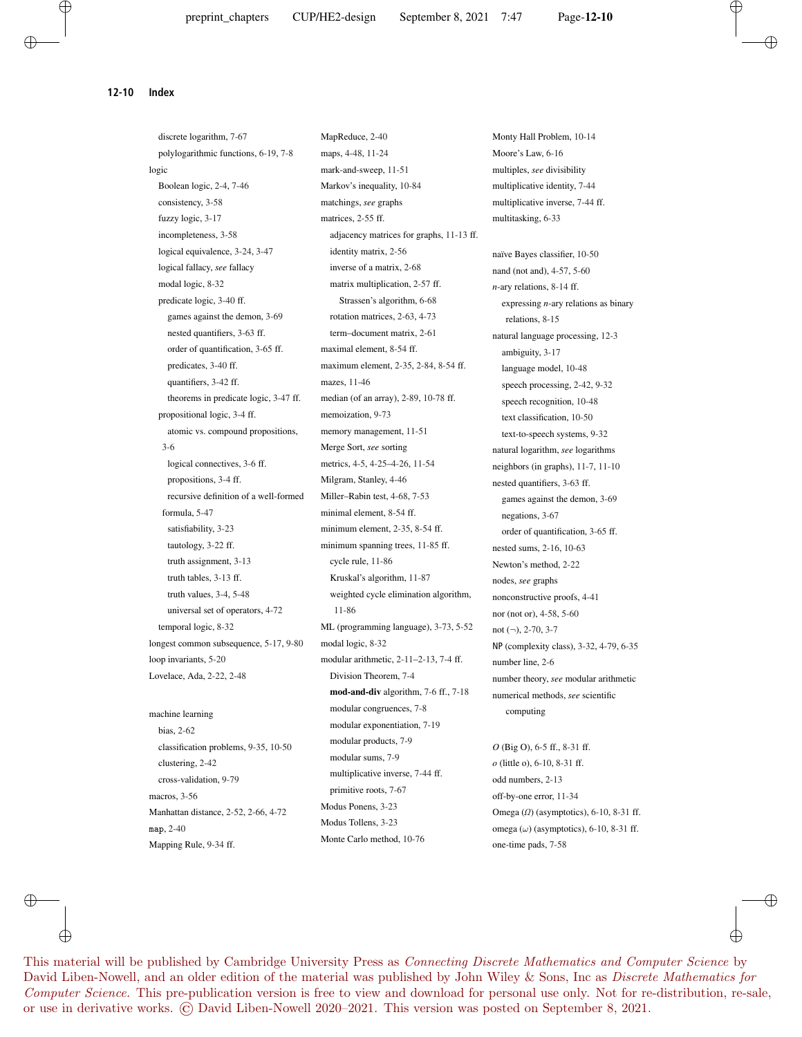**12-10 Index**

discrete logarithm, 7-67 polylogarithmic functions, 6-19, 7-8 logic Boolean logic, 2-4, 7-46 consistency, 3-58 fuzzy logic, 3-17 incompleteness, 3-58 logical equivalence, 3-24, 3-47 logical fallacy, *see* fallacy modal logic, 8-32 predicate logic, 3-40 ff. games against the demon, 3-69 nested quantifiers, 3-63 ff. order of quantification, 3-65 ff. predicates, 3-40 ff. quantifiers, 3-42 ff. theorems in predicate logic, 3-47 ff. propositional logic, 3-4 ff. atomic vs. compound propositions, 3-6 logical connectives, 3-6 ff. propositions, 3-4 ff. recursive definition of a well-formed formula, 5-47 satisfiability, 3-23 tautology, 3-22 ff. truth assignment, 3-13 truth tables, 3-13 ff. truth values, 3-4, 5-48 universal set of operators, 4-72 temporal logic, 8-32 longest common subsequence, 5-17, 9-80 loop invariants, 5-20 Lovelace, Ada, 2-22, 2-48 machine learning bias, 2-62 classification problems, 9-35, 10-50 clustering, 2-42 cross-validation, 9-79 macros, 3-56 Manhattan distance, 2-52, 2-66, 4-72 map, 2-40

Mapping Rule, 9-34 ff.

MapReduce, 2-40 maps, 4-48, 11-24 mark-and-sweep, 11-51 Markov's inequality, 10-84 matchings, *see* graphs matrices, 2-55 ff. adjacency matrices for graphs, 11-13 ff. identity matrix, 2-56 inverse of a matrix, 2-68 matrix multiplication, 2-57 ff. Strassen's algorithm, 6-68 rotation matrices, 2-63, 4-73 term–document matrix, 2-61 maximal element, 8-54 ff. maximum element, 2-35, 2-84, 8-54 ff. mazes, 11-46 median (of an array), 2-89, 10-78 ff. memoization, 9-73 memory management, 11-51 Merge Sort, *see* sorting metrics, 4-5, 4-25–4-26, 11-54 Milgram, Stanley, 4-46 Miller–Rabin test, 4-68, 7-53 minimal element, 8-54 ff. minimum element, 2-35, 8-54 ff. minimum spanning trees, 11-85 ff. cycle rule, 11-86 Kruskal's algorithm, 11-87 weighted cycle elimination algorithm, 11-86 ML (programming language), 3-73, 5-52 modal logic, 8-32 modular arithmetic, 2-11–2-13, 7-4 ff. Division Theorem, 7-4 **mod-and-div** algorithm, 7-6 ff., 7-18 modular congruences, 7-8 modular exponentiation, 7-19 modular products, 7-9 modular sums, 7-9 multiplicative inverse, 7-44 ff. primitive roots, 7-67 Modus Ponens, 3-23 Modus Tollens, 3-23 Monte Carlo method, 10-76

Monty Hall Problem, 10-14 Moore's Law, 6-16 multiples, *see* divisibility multiplicative identity, 7-44 multiplicative inverse, 7-44 ff. multitasking, 6-33

naïve Bayes classifier, 10-50 nand (not and), 4-57, 5-60 *n*-ary relations, 8-14 ff. expressing *n*-ary relations as binary relations, 8-15 natural language processing, 12-3 ambiguity, 3-17 language model, 10-48 speech processing, 2-42, 9-32 speech recognition, 10-48 text classification, 10-50 text-to-speech systems, 9-32 natural logarithm, *see* logarithms neighbors (in graphs), 11-7, 11-10 nested quantifiers, 3-63 ff. games against the demon, 3-69 negations, 3-67 order of quantification, 3-65 ff. nested sums, 2-16, 10-63 Newton's method, 2-22 nodes, *see* graphs nonconstructive proofs, 4-41 nor (not or), 4-58, 5-60 not (¬), 2-70, 3-7 NP (complexity class), 3-32, 4-79, 6-35 number line, 2-6 number theory, *see* modular arithmetic numerical methods, *see* scientific computing

*O* (Big O), 6-5 ff., 8-31 ff. *o* (little o), 6-10, 8-31 ff. odd numbers, 2-13 off-by-one error, 11-34 Omega (*Ω*) (asymptotics), 6-10, 8-31 ff. omega  $(\omega)$  (asymptotics), 6-10, 8-31 ff. one-time pads, 7-58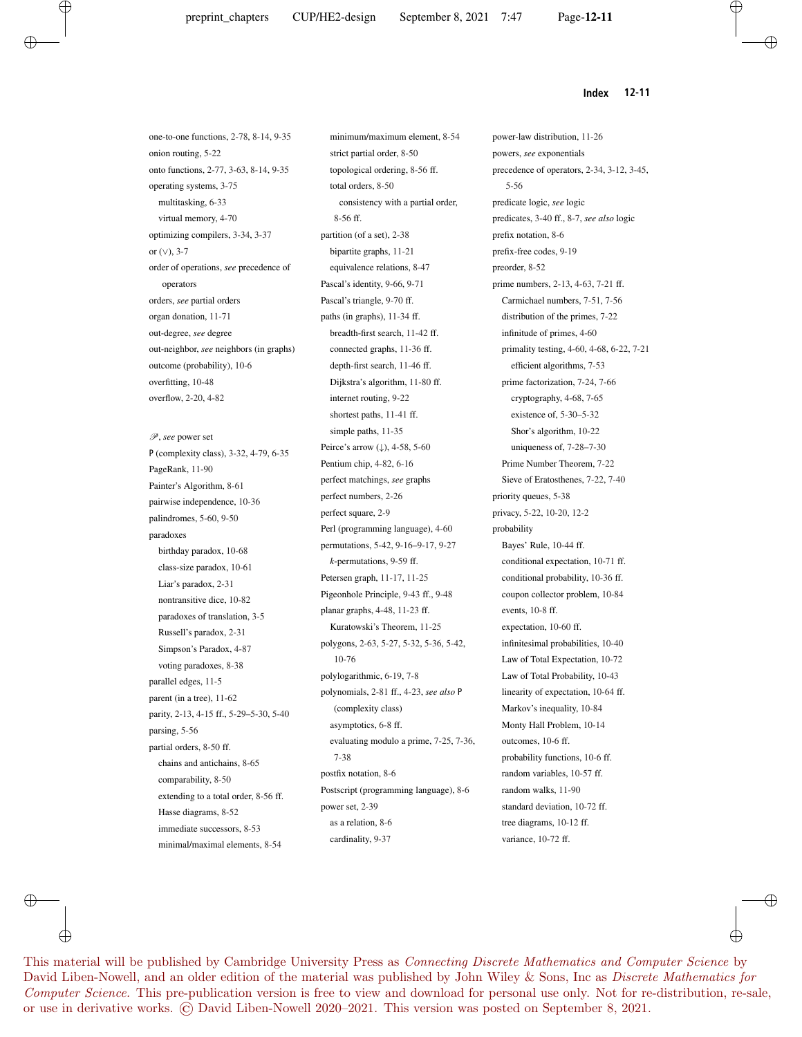#### **Index 12-11**

one-to-one functions, 2-78, 8-14, 9-35 onion routing, 5-22 onto functions, 2-77, 3-63, 8-14, 9-35 operating systems, 3-75 multitasking, 6-33 virtual memory, 4-70 optimizing compilers, 3-34, 3-37 or (∨), 3-7 order of operations, *see* precedence of operators orders, *see* partial orders organ donation, 11-71 out-degree, *see* degree out-neighbor, *see* neighbors (in graphs) outcome (probability), 10-6 overfitting, 10-48 overflow, 2-20, 4-82

P, *see* power set P (complexity class), 3-32, 4-79, 6-35 PageRank, 11-90 Painter's Algorithm, 8-61 pairwise independence, 10-36 palindromes, 5-60, 9-50 paradoxes birthday paradox, 10-68 class-size paradox, 10-61 Liar's paradox, 2-31 nontransitive dice, 10-82 paradoxes of translation, 3-5 Russell's paradox, 2-31 Simpson's Paradox, 4-87 voting paradoxes, 8-38 parallel edges, 11-5 parent (in a tree), 11-62 parity, 2-13, 4-15 ff., 5-29–5-30, 5-40 parsing, 5-56 partial orders, 8-50 ff. chains and antichains, 8-65 comparability, 8-50 extending to a total order, 8-56 ff. Hasse diagrams, 8-52 immediate successors, 8-53 minimal/maximal elements, 8-54

minimum/maximum element, 8-54 strict partial order, 8-50 topological ordering, 8-56 ff. total orders, 8-50 consistency with a partial order, 8-56 ff. partition (of a set), 2-38 bipartite graphs, 11-21 equivalence relations, 8-47 Pascal's identity, 9-66, 9-71 Pascal's triangle, 9-70 ff. paths (in graphs), 11-34 ff. breadth-first search, 11-42 ff. connected graphs, 11-36 ff. depth-first search, 11-46 ff. Dijkstra's algorithm, 11-80 ff. internet routing, 9-22 shortest paths, 11-41 ff. simple paths, 11-35 Peirce's arrow (↓), 4-58, 5-60 Pentium chip, 4-82, 6-16 perfect matchings, *see* graphs perfect numbers, 2-26 perfect square, 2-9 Perl (programming language), 4-60 permutations, 5-42, 9-16–9-17, 9-27 *k*-permutations, 9-59 ff. Petersen graph, 11-17, 11-25 Pigeonhole Principle, 9-43 ff., 9-48 planar graphs, 4-48, 11-23 ff. Kuratowski's Theorem, 11-25 polygons, 2-63, 5-27, 5-32, 5-36, 5-42, 10-76 polylogarithmic, 6-19, 7-8 polynomials, 2-81 ff., 4-23, *see also* P (complexity class) asymptotics, 6-8 ff. evaluating modulo a prime, 7-25, 7-36, 7-38 postfix notation, 8-6 Postscript (programming language), 8-6 power set, 2-39 as a relation, 8-6 cardinality, 9-37

power-law distribution, 11-26 powers, *see* exponentials precedence of operators, 2-34, 3-12, 3-45, 5-56 predicate logic, *see* logic predicates, 3-40 ff., 8-7, *see also* logic prefix notation, 8-6 prefix-free codes, 9-19 preorder, 8-52 prime numbers, 2-13, 4-63, 7-21 ff. Carmichael numbers, 7-51, 7-56 distribution of the primes, 7-22 infinitude of primes, 4-60 primality testing, 4-60, 4-68, 6-22, 7-21 efficient algorithms, 7-53 prime factorization, 7-24, 7-66 cryptography, 4-68, 7-65 existence of, 5-30–5-32 Shor's algorithm, 10-22 uniqueness of, 7-28–7-30 Prime Number Theorem, 7-22 Sieve of Eratosthenes, 7-22, 7-40 priority queues, 5-38 privacy, 5-22, 10-20, 12-2 probability Bayes' Rule, 10-44 ff. conditional expectation, 10-71 ff. conditional probability, 10-36 ff. coupon collector problem, 10-84 events, 10-8 ff. expectation, 10-60 ff. infinitesimal probabilities, 10-40 Law of Total Expectation, 10-72 Law of Total Probability, 10-43 linearity of expectation, 10-64 ff. Markov's inequality, 10-84 Monty Hall Problem, 10-14 outcomes, 10-6 ff. probability functions, 10-6 ff. random variables, 10-57 ff. random walks, 11-90 standard deviation, 10-72 ff. tree diagrams, 10-12 ff. variance, 10-72 ff.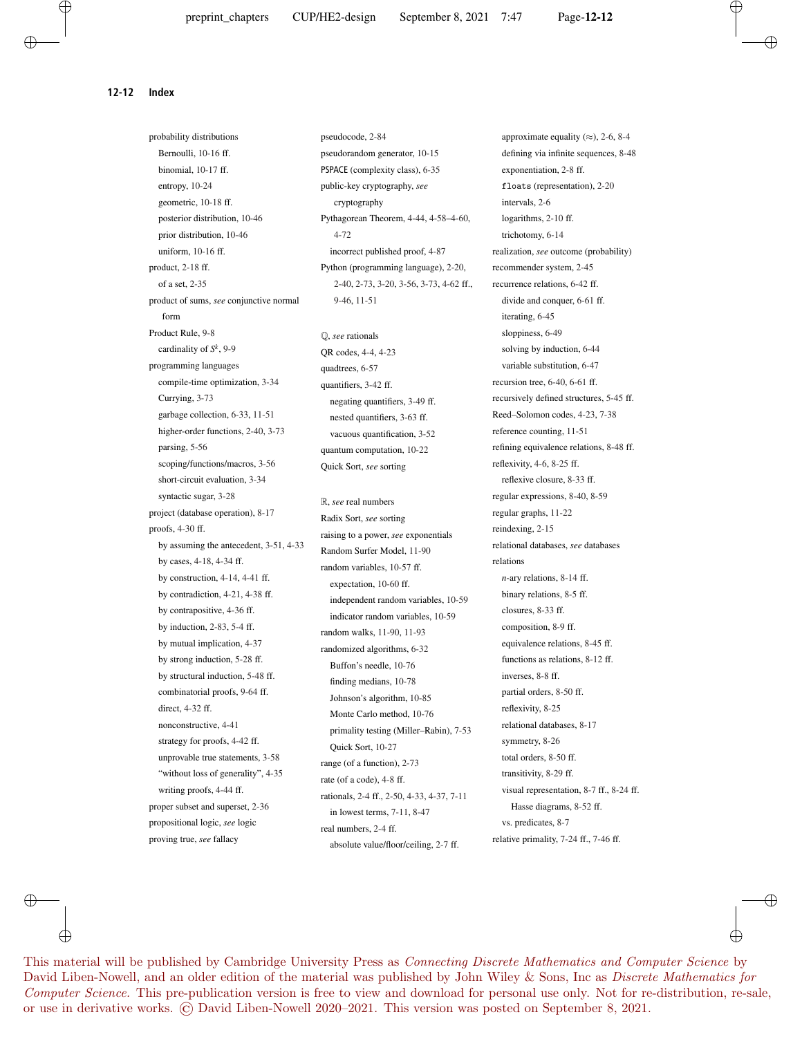**12-12 Index**

probability distributions Bernoulli, 10-16 ff. binomial, 10-17 ff. entropy, 10-24 geometric, 10-18 ff. posterior distribution, 10-46 prior distribution, 10-46 uniform, 10-16 ff. product, 2-18 ff. of a set, 2-35 product of sums, *see* conjunctive normal form Product Rule, 9-8 cardinality of *S k* , 9-9 programming languages compile-time optimization, 3-34 Currying, 3-73 garbage collection, 6-33, 11-51 higher-order functions, 2-40, 3-73 parsing, 5-56 scoping/functions/macros, 3-56 short-circuit evaluation, 3-34 syntactic sugar, 3-28 project (database operation), 8-17 proofs, 4-30 ff. by assuming the antecedent, 3-51, 4-33 by cases, 4-18, 4-34 ff. by construction, 4-14, 4-41 ff. by contradiction, 4-21, 4-38 ff. by contrapositive, 4-36 ff. by induction, 2-83, 5-4 ff. by mutual implication, 4-37 by strong induction, 5-28 ff. by structural induction, 5-48 ff. combinatorial proofs, 9-64 ff. direct, 4-32 ff. nonconstructive, 4-41 strategy for proofs, 4-42 ff. unprovable true statements, 3-58 "without loss of generality", 4-35 writing proofs, 4-44 ff. proper subset and superset, 2-36 propositional logic, *see* logic proving true, *see* fallacy

pseudocode, 2-84 pseudorandom generator, 10-15 PSPACE (complexity class), 6-35 public-key cryptography, *see* cryptography Pythagorean Theorem, 4-44, 4-58–4-60, 4-72 incorrect published proof, 4-87 Python (programming language), 2-20, 2-40, 2-73, 3-20, 3-56, 3-73, 4-62 ff., 9-46, 11-51

Q, *see* rationals QR codes, 4-4, 4-23 quadtrees, 6-57 quantifiers, 3-42 ff. negating quantifiers, 3-49 ff. nested quantifiers, 3-63 ff. vacuous quantification, 3-52 quantum computation, 10-22 Quick Sort, *see* sorting

R, *see* real numbers Radix Sort, *see* sorting raising to a power, *see* exponentials Random Surfer Model, 11-90 random variables, 10-57 ff. expectation, 10-60 ff. independent random variables, 10-59 indicator random variables, 10-59 random walks, 11-90, 11-93 randomized algorithms, 6-32 Buffon's needle, 10-76 finding medians, 10-78 Johnson's algorithm, 10-85 Monte Carlo method, 10-76 primality testing (Miller–Rabin), 7-53 Quick Sort, 10-27 range (of a function), 2-73 rate (of a code), 4-8 ff. rationals, 2-4 ff., 2-50, 4-33, 4-37, 7-11 in lowest terms, 7-11, 8-47 real numbers, 2-4 ff. absolute value/floor/ceiling, 2-7 ff.

approximate equality  $(\approx)$ , 2-6, 8-4 defining via infinite sequences, 8-48 exponentiation, 2-8 ff. floats (representation), 2-20 intervals, 2-6 logarithms, 2-10 ff. trichotomy, 6-14 realization, *see* outcome (probability) recommender system, 2-45 recurrence relations, 6-42 ff. divide and conquer, 6-61 ff. iterating, 6-45 sloppiness, 6-49 solving by induction, 6-44 variable substitution, 6-47 recursion tree, 6-40, 6-61 ff. recursively defined structures, 5-45 ff. Reed–Solomon codes, 4-23, 7-38 reference counting, 11-51 refining equivalence relations, 8-48 ff. reflexivity, 4-6, 8-25 ff. reflexive closure, 8-33 ff. regular expressions, 8-40, 8-59 regular graphs, 11-22 reindexing, 2-15 relational databases, *see* databases relations *n*-ary relations, 8-14 ff. binary relations, 8-5 ff. closures, 8-33 ff. composition, 8-9 ff. equivalence relations, 8-45 ff. functions as relations, 8-12 ff. inverses, 8-8 ff. partial orders, 8-50 ff. reflexivity, 8-25 relational databases, 8-17 symmetry, 8-26 total orders, 8-50 ff. transitivity, 8-29 ff. visual representation, 8-7 ff., 8-24 ff. Hasse diagrams, 8-52 ff. vs. predicates, 8-7 relative primality, 7-24 ff., 7-46 ff.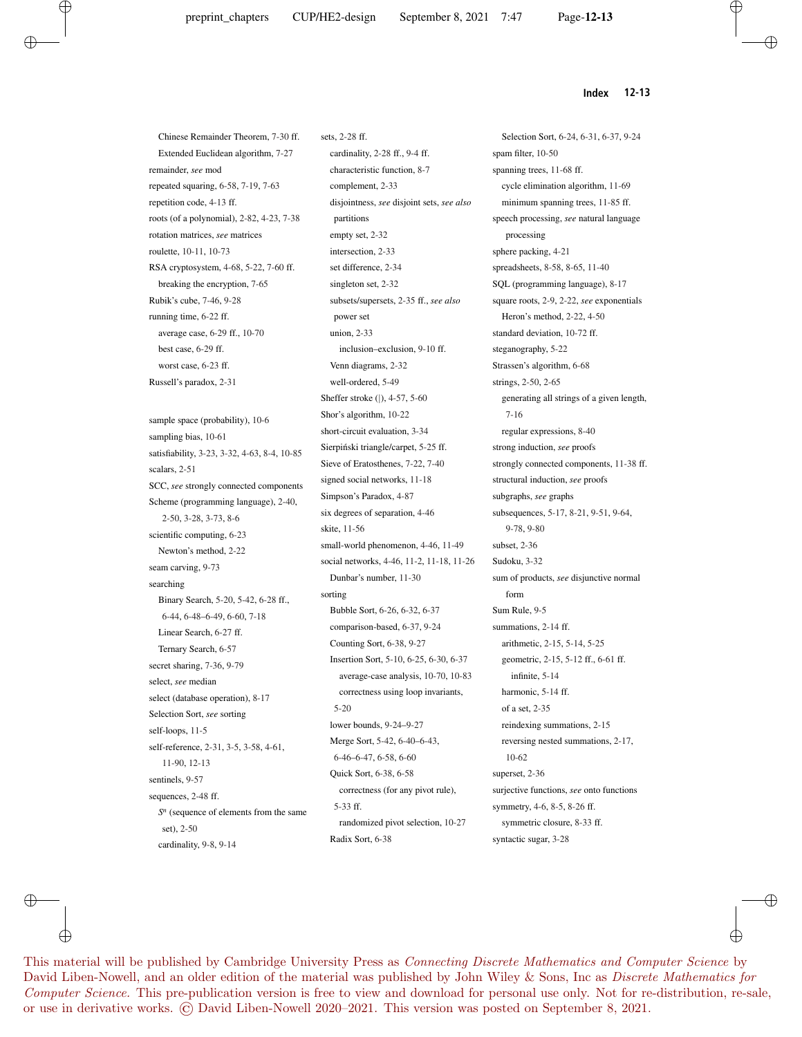$\oplus$ 

Selection Sort, 6-24, 6-31, 6-37, 9-24

**Index 12-13**

Chinese Remainder Theorem, 7-30 ff. Extended Euclidean algorithm, 7-27 remainder, *see* mod repeated squaring, 6-58, 7-19, 7-63 repetition code, 4-13 ff. roots (of a polynomial), 2-82, 4-23, 7-38 rotation matrices, *see* matrices roulette, 10-11, 10-73 RSA cryptosystem, 4-68, 5-22, 7-60 ff. breaking the encryption, 7-65 Rubik's cube, 7-46, 9-28 running time, 6-22 ff. average case, 6-29 ff., 10-70 best case, 6-29 ff. worst case, 6-23 ff. Russell's paradox, 2-31 sample space (probability), 10-6 sampling bias, 10-61 satisfiability, 3-23, 3-32, 4-63, 8-4, 10-85 scalars, 2-51 SCC, *see* strongly connected components Scheme (programming language), 2-40, 2-50, 3-28, 3-73, 8-6 scientific computing, 6-23 Newton's method, 2-22 seam carving, 9-73 searching Binary Search, 5-20, 5-42, 6-28 ff., 6-44, 6-48–6-49, 6-60, 7-18 Linear Search, 6-27 ff. Ternary Search, 6-57 secret sharing, 7-36, 9-79 select, *see* median select (database operation), 8-17 Selection Sort, *see* sorting self-loops, 11-5 self-reference, 2-31, 3-5, 3-58, 4-61, 11-90, 12-13 sentinels, 9-57 sequences, 2-48 ff. *S n* (sequence of elements from the same set), 2-50 cardinality, 9-8, 9-14

sets, 2-28 ff. cardinality, 2-28 ff., 9-4 ff. characteristic function, 8-7 complement, 2-33 disjointness, *see* disjoint sets, *see also* partitions empty set, 2-32 intersection, 2-33 set difference, 2-34 singleton set, 2-32 subsets/supersets, 2-35 ff., *see also* power set union, 2-33 inclusion–exclusion, 9-10 ff. Venn diagrams, 2-32 well-ordered, 5-49 Sheffer stroke (|), 4-57, 5-60 Shor's algorithm, 10-22 short-circuit evaluation, 3-34 Sierpiński triangle/carpet, 5-25 ff. Sieve of Eratosthenes, 7-22, 7-40 signed social networks, 11-18 Simpson's Paradox, 4-87 six degrees of separation, 4-46 skite, 11-56 small-world phenomenon, 4-46, 11-49 social networks, 4-46, 11-2, 11-18, 11-26 Dunbar's number, 11-30 sorting Bubble Sort, 6-26, 6-32, 6-37 comparison-based, 6-37, 9-24 Counting Sort, 6-38, 9-27 Insertion Sort, 5-10, 6-25, 6-30, 6-37 average-case analysis, 10-70, 10-83 correctness using loop invariants, 5-20 lower bounds, 9-24–9-27 Merge Sort, 5-42, 6-40–6-43, 6-46–6-47, 6-58, 6-60 Quick Sort, 6-38, 6-58 correctness (for any pivot rule), 5-33 ff. randomized pivot selection, 10-27 Radix Sort, 6-38

spam filter, 10-50 spanning trees, 11-68 ff. cycle elimination algorithm, 11-69 minimum spanning trees, 11-85 ff. speech processing, *see* natural language processing sphere packing, 4-21 spreadsheets, 8-58, 8-65, 11-40 SQL (programming language), 8-17 square roots, 2-9, 2-22, *see* exponentials Heron's method, 2-22, 4-50 standard deviation, 10-72 ff. steganography, 5-22 Strassen's algorithm, 6-68 strings, 2-50, 2-65 generating all strings of a given length, 7-16 regular expressions, 8-40 strong induction, *see* proofs strongly connected components, 11-38 ff. structural induction, *see* proofs subgraphs, *see* graphs subsequences, 5-17, 8-21, 9-51, 9-64, 9-78, 9-80 subset, 2-36 Sudoku, 3-32 sum of products, *see* disjunctive normal form Sum Rule, 9-5 summations, 2-14 ff. arithmetic, 2-15, 5-14, 5-25 geometric, 2-15, 5-12 ff., 6-61 ff. infinite, 5-14 harmonic, 5-14 ff. of a set, 2-35 reindexing summations, 2-15 reversing nested summations, 2-17, 10-62 superset, 2-36 surjective functions, *see* onto functions symmetry, 4-6, 8-5, 8-26 ff. symmetric closure, 8-33 ff. syntactic sugar, 3-28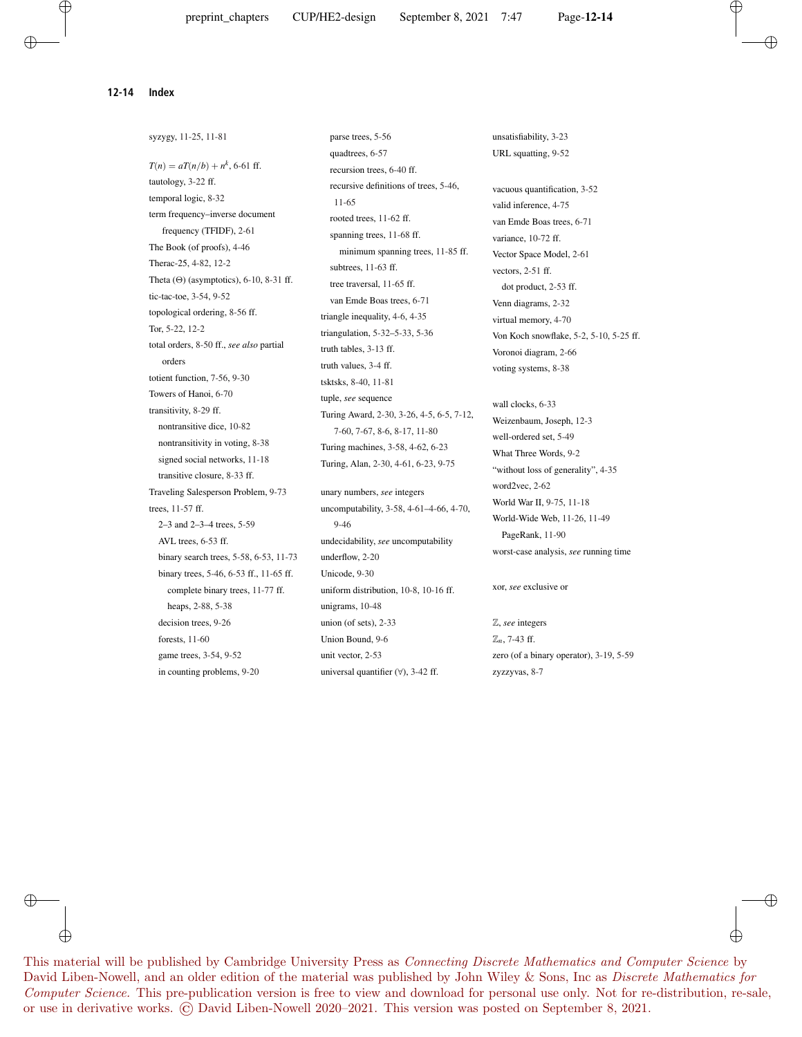$\oplus$ 

⊕

syzygy, 11-25, 11-81  $T(n) = aT(n/b) + n^k$ , 6-61 ff. tautology, 3-22 ff. temporal logic, 8-32 term frequency–inverse document frequency (TFIDF), 2-61 The Book (of proofs), 4-46 Therac-25, 4-82, 12-2 Theta  $(\Theta)$  (asymptotics), 6-10, 8-31 ff. tic-tac-toe, 3-54, 9-52 topological ordering, 8-56 ff. Tor, 5-22, 12-2 total orders, 8-50 ff., *see also* partial orders totient function, 7-56, 9-30 Towers of Hanoi, 6-70 transitivity, 8-29 ff. nontransitive dice, 10-82 nontransitivity in voting, 8-38 signed social networks, 11-18 transitive closure, 8-33 ff. Traveling Salesperson Problem, 9-73 trees, 11-57 ff. 2–3 and 2–3–4 trees, 5-59 AVL trees, 6-53 ff. binary search trees, 5-58, 6-53, 11-73 binary trees, 5-46, 6-53 ff., 11-65 ff. complete binary trees, 11-77 ff. heaps, 2-88, 5-38 decision trees, 9-26 forests, 11-60 game trees, 3-54, 9-52 in counting problems, 9-20

parse trees, 5-56 quadtrees, 6-57 recursion trees, 6-40 ff. recursive definitions of trees, 5-46, 11-65 rooted trees, 11-62 ff. spanning trees, 11-68 ff. minimum spanning trees, 11-85 ff. subtrees, 11-63 ff. tree traversal, 11-65 ff. van Emde Boas trees, 6-71 triangle inequality, 4-6, 4-35 triangulation, 5-32–5-33, 5-36 truth tables, 3-13 ff. truth values, 3-4 ff. tsktsks, 8-40, 11-81 tuple, *see* sequence Turing Award, 2-30, 3-26, 4-5, 6-5, 7-12, 7-60, 7-67, 8-6, 8-17, 11-80 Turing machines, 3-58, 4-62, 6-23 Turing, Alan, 2-30, 4-61, 6-23, 9-75

unary numbers, *see* integers uncomputability, 3-58, 4-61–4-66, 4-70, 9-46 undecidability, *see* uncomputability underflow, 2-20 Unicode, 9-30 uniform distribution, 10-8, 10-16 ff. unigrams, 10-48 union (of sets), 2-33 Union Bound, 9-6 unit vector, 2-53 universal quantifier (∀), 3-42 ff.

unsatisfiability, 3-23 URL squatting, 9-52

vacuous quantification, 3-52 valid inference, 4-75 van Emde Boas trees, 6-71 variance, 10-72 ff. Vector Space Model, 2-61 vectors, 2-51 ff. dot product, 2-53 ff. Venn diagrams, 2-32 virtual memory, 4-70 Von Koch snowflake, 5-2, 5-10, 5-25 ff. Voronoi diagram, 2-66 voting systems, 8-38

wall clocks, 6-33 Weizenbaum, Joseph, 12-3 well-ordered set, 5-49 What Three Words, 9-2 "without loss of generality", 4-35 word2vec, 2-62 World War II, 9-75, 11-18 World-Wide Web, 11-26, 11-49 PageRank, 11-90 worst-case analysis, *see* running time

xor, *see* exclusive or

Z, *see* integers Z*n*, 7-43 ff. zero (of a binary operator), 3-19, 5-59 zyzzyvas, 8-7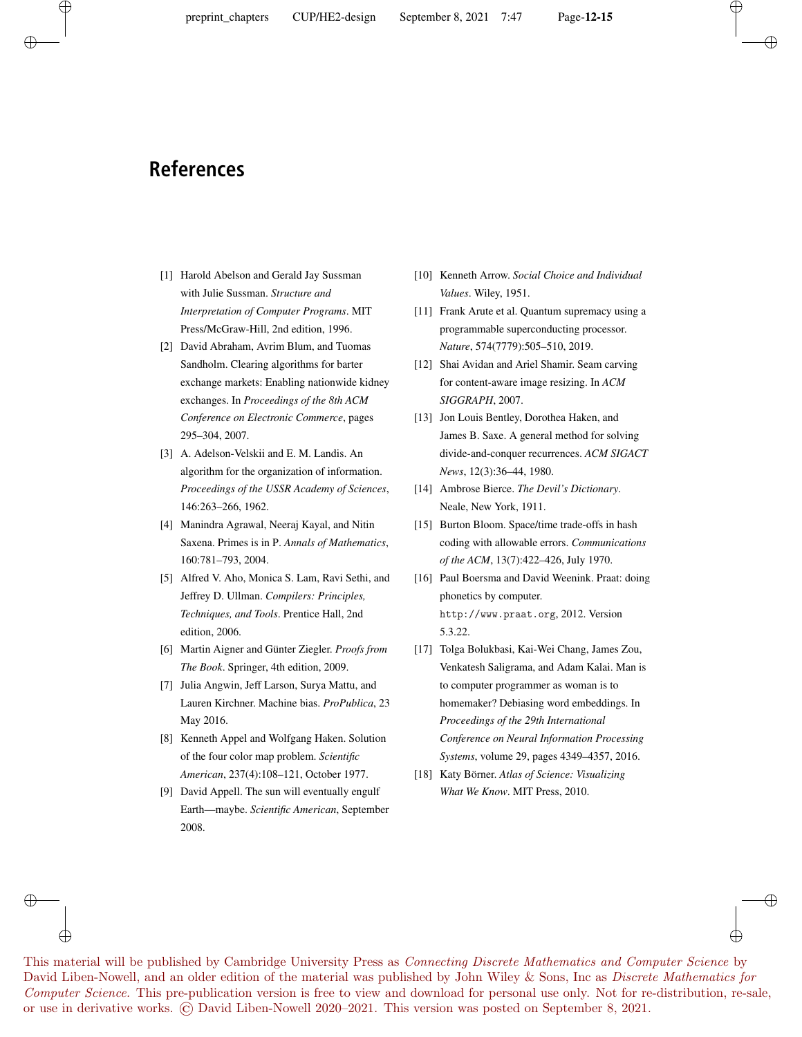# **References**

- [1] Harold Abelson and Gerald Jay Sussman with Julie Sussman. *Structure and Interpretation of Computer Programs*. MIT Press/McGraw-Hill, 2nd edition, 1996.
- [2] David Abraham, Avrim Blum, and Tuomas Sandholm. Clearing algorithms for barter exchange markets: Enabling nationwide kidney exchanges. In *Proceedings of the 8th ACM Conference on Electronic Commerce*, pages 295–304, 2007.
- [3] A. Adelson-Velskii and E. M. Landis. An algorithm for the organization of information. *Proceedings of the USSR Academy of Sciences*, 146:263–266, 1962.
- [4] Manindra Agrawal, Neeraj Kayal, and Nitin Saxena. Primes is in P. *Annals of Mathematics*, 160:781–793, 2004.
- [5] Alfred V. Aho, Monica S. Lam, Ravi Sethi, and Jeffrey D. Ullman. *Compilers: Principles, Techniques, and Tools*. Prentice Hall, 2nd edition, 2006.
- [6] Martin Aigner and Günter Ziegler. *Proofs from The Book*. Springer, 4th edition, 2009.
- [7] Julia Angwin, Jeff Larson, Surya Mattu, and Lauren Kirchner. Machine bias. *ProPublica*, 23 May 2016.
- [8] Kenneth Appel and Wolfgang Haken. Solution of the four color map problem. *Scientific American*, 237(4):108–121, October 1977.
- [9] David Appell. The sun will eventually engulf Earth—maybe. *Scientific American*, September 2008.

⊕

- [10] Kenneth Arrow. *Social Choice and Individual Values*. Wiley, 1951.
- [11] Frank Arute et al. Quantum supremacy using a programmable superconducting processor. *Nature*, 574(7779):505–510, 2019.
- [12] Shai Avidan and Ariel Shamir. Seam carving for content-aware image resizing. In *ACM SIGGRAPH*, 2007.
- [13] Jon Louis Bentley, Dorothea Haken, and James B. Saxe. A general method for solving divide-and-conquer recurrences. *ACM SIGACT News*, 12(3):36–44, 1980.
- [14] Ambrose Bierce. *The Devil's Dictionary*. Neale, New York, 1911.
- [15] Burton Bloom. Space/time trade-offs in hash coding with allowable errors. *Communications of the ACM*, 13(7):422–426, July 1970.
- [16] Paul Boersma and David Weenink. Praat: doing phonetics by computer. http://www.praat.org, 2012. Version 5.3.22.
- [17] Tolga Bolukbasi, Kai-Wei Chang, James Zou, Venkatesh Saligrama, and Adam Kalai. Man is to computer programmer as woman is to homemaker? Debiasing word embeddings. In *Proceedings of the 29th International Conference on Neural Information Processing Systems*, volume 29, pages 4349–4357, 2016.
- [18] Katy Börner. *Atlas of Science: Visualizing What We Know*. MIT Press, 2010.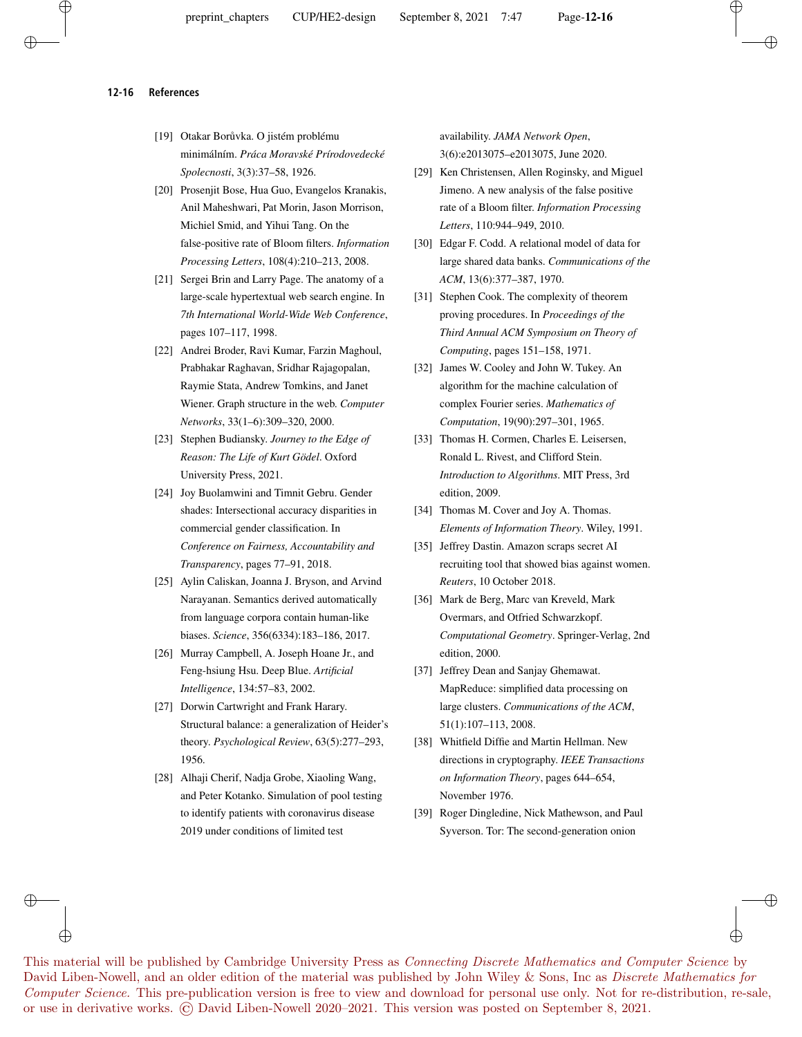#### **12-16 References**

- [19] Otakar Borůvka. O jistém problému minimálním. *Práca Moravské Prírodovedecké Spolecnosti*, 3(3):37–58, 1926.
- [20] Prosenjit Bose, Hua Guo, Evangelos Kranakis, Anil Maheshwari, Pat Morin, Jason Morrison, Michiel Smid, and Yihui Tang. On the false-positive rate of Bloom filters. *Information Processing Letters*, 108(4):210–213, 2008.
- [21] Sergei Brin and Larry Page. The anatomy of a large-scale hypertextual web search engine. In *7th International World-Wide Web Conference*, pages 107–117, 1998.
- [22] Andrei Broder, Ravi Kumar, Farzin Maghoul, Prabhakar Raghavan, Sridhar Rajagopalan, Raymie Stata, Andrew Tomkins, and Janet Wiener. Graph structure in the web. *Computer Networks*, 33(1–6):309–320, 2000.
- [23] Stephen Budiansky. *Journey to the Edge of Reason: The Life of Kurt Gödel*. Oxford University Press, 2021.
- [24] Joy Buolamwini and Timnit Gebru. Gender shades: Intersectional accuracy disparities in commercial gender classification. In *Conference on Fairness, Accountability and Transparency*, pages 77–91, 2018.
- [25] Aylin Caliskan, Joanna J. Bryson, and Arvind Narayanan. Semantics derived automatically from language corpora contain human-like biases. *Science*, 356(6334):183–186, 2017.
- [26] Murray Campbell, A. Joseph Hoane Jr., and Feng-hsiung Hsu. Deep Blue. *Artificial Intelligence*, 134:57–83, 2002.
- [27] Dorwin Cartwright and Frank Harary. Structural balance: a generalization of Heider's theory. *Psychological Review*, 63(5):277–293, 1956.
- [28] Alhaji Cherif, Nadja Grobe, Xiaoling Wang, and Peter Kotanko. Simulation of pool testing to identify patients with coronavirus disease 2019 under conditions of limited test

⊕

availability. *JAMA Network Open*, 3(6):e2013075–e2013075, June 2020.

- [29] Ken Christensen, Allen Roginsky, and Miguel Jimeno. A new analysis of the false positive rate of a Bloom filter. *Information Processing Letters*, 110:944–949, 2010.
- [30] Edgar F. Codd. A relational model of data for large shared data banks. *Communications of the ACM*, 13(6):377–387, 1970.
- [31] Stephen Cook. The complexity of theorem proving procedures. In *Proceedings of the Third Annual ACM Symposium on Theory of Computing*, pages 151–158, 1971.
- [32] James W. Cooley and John W. Tukey. An algorithm for the machine calculation of complex Fourier series. *Mathematics of Computation*, 19(90):297–301, 1965.
- [33] Thomas H. Cormen, Charles E. Leisersen, Ronald L. Rivest, and Clifford Stein. *Introduction to Algorithms*. MIT Press, 3rd edition, 2009.
- [34] Thomas M. Cover and Joy A. Thomas. *Elements of Information Theory*. Wiley, 1991.
- [35] Jeffrey Dastin. Amazon scraps secret AI recruiting tool that showed bias against women. *Reuters*, 10 October 2018.
- [36] Mark de Berg, Marc van Kreveld, Mark Overmars, and Otfried Schwarzkopf. *Computational Geometry*. Springer-Verlag, 2nd edition, 2000.
- [37] Jeffrey Dean and Sanjay Ghemawat. MapReduce: simplified data processing on large clusters. *Communications of the ACM*, 51(1):107–113, 2008.
- [38] Whitfield Diffie and Martin Hellman. New directions in cryptography. *IEEE Transactions on Information Theory*, pages 644–654, November 1976.
- [39] Roger Dingledine, Nick Mathewson, and Paul Syverson. Tor: The second-generation onion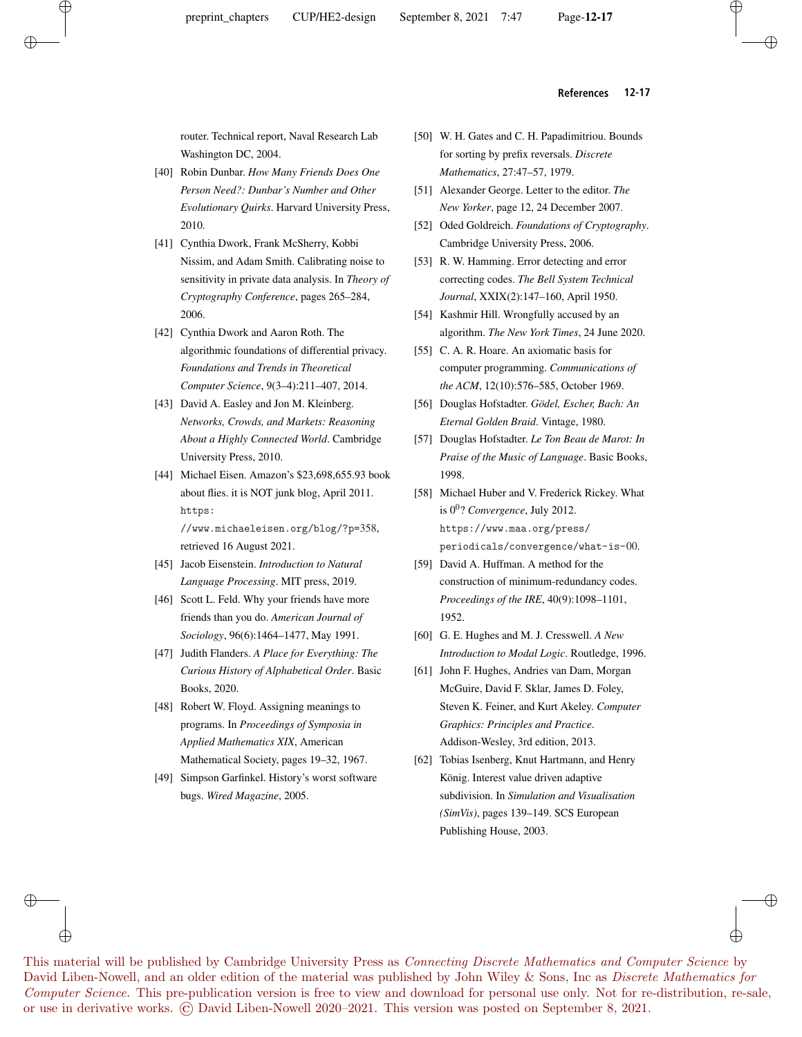#### **References 12-17**

router. Technical report, Naval Research Lab Washington DC, 2004.

- [40] Robin Dunbar. *How Many Friends Does One Person Need?: Dunbar's Number and Other Evolutionary Quirks*. Harvard University Press, 2010.
- [41] Cynthia Dwork, Frank McSherry, Kobbi Nissim, and Adam Smith. Calibrating noise to sensitivity in private data analysis. In *Theory of Cryptography Conference*, pages 265–284, 2006.
- [42] Cynthia Dwork and Aaron Roth. The algorithmic foundations of differential privacy. *Foundations and Trends in Theoretical Computer Science*, 9(3–4):211–407, 2014.
- [43] David A. Easley and Jon M. Kleinberg. *Networks, Crowds, and Markets: Reasoning About a Highly Connected World*. Cambridge University Press, 2010.
- [44] Michael Eisen. Amazon's \$23,698,655.93 book about flies. it is NOT junk blog, April 2011. https:

//www.michaeleisen.org/blog/?p=358, retrieved 16 August 2021.

- [45] Jacob Eisenstein. *Introduction to Natural Language Processing*. MIT press, 2019.
- [46] Scott L. Feld. Why your friends have more friends than you do. *American Journal of Sociology*, 96(6):1464–1477, May 1991.
- [47] Judith Flanders. *A Place for Everything: The Curious History of Alphabetical Order*. Basic Books, 2020.
- [48] Robert W. Floyd. Assigning meanings to programs. In *Proceedings of Symposia in Applied Mathematics XIX*, American Mathematical Society, pages 19–32, 1967.
- [49] Simpson Garfinkel. History's worst software bugs. *Wired Magazine*, 2005.

⊕

- [50] W. H. Gates and C. H. Papadimitriou. Bounds for sorting by prefix reversals. *Discrete Mathematics*, 27:47–57, 1979.
- [51] Alexander George. Letter to the editor. *The New Yorker*, page 12, 24 December 2007.
- [52] Oded Goldreich. *Foundations of Cryptography*. Cambridge University Press, 2006.
- [53] R. W. Hamming. Error detecting and error correcting codes. *The Bell System Technical Journal*, XXIX(2):147–160, April 1950.
- [54] Kashmir Hill. Wrongfully accused by an algorithm. *The New York Times*, 24 June 2020.
- [55] C. A. R. Hoare. An axiomatic basis for computer programming. *Communications of the ACM*, 12(10):576–585, October 1969.
- [56] Douglas Hofstadter. *Gödel, Escher, Bach: An Eternal Golden Braid*. Vintage, 1980.
- [57] Douglas Hofstadter. *Le Ton Beau de Marot: In Praise of the Music of Language*. Basic Books, 1998.
- [58] Michael Huber and V. Frederick Rickey. What is 0<sup>0</sup> ? *Convergence*, July 2012. https://www.maa.org/press/ periodicals/convergence/what-is-00.
- [59] David A. Huffman. A method for the construction of minimum-redundancy codes. *Proceedings of the IRE*, 40(9):1098–1101, 1952.
- [60] G. E. Hughes and M. J. Cresswell. *A New Introduction to Modal Logic*. Routledge, 1996.
- [61] John F. Hughes, Andries van Dam, Morgan McGuire, David F. Sklar, James D. Foley, Steven K. Feiner, and Kurt Akeley. *Computer Graphics: Principles and Practice*. Addison-Wesley, 3rd edition, 2013.
- [62] Tobias Isenberg, Knut Hartmann, and Henry König. Interest value driven adaptive subdivision. In *Simulation and Visualisation (SimVis)*, pages 139–149. SCS European Publishing House, 2003.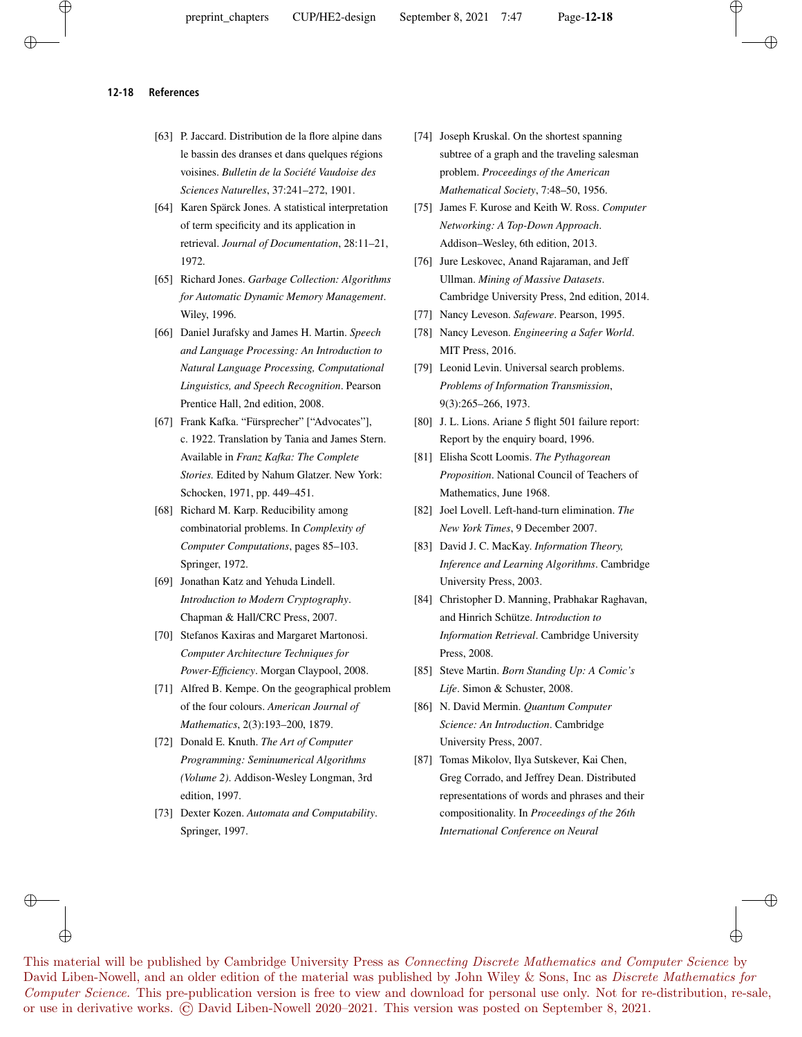#### **12-18 References**

- [63] P. Jaccard. Distribution de la flore alpine dans le bassin des dranses et dans quelques régions voisines. *Bulletin de la Société Vaudoise des Sciences Naturelles*, 37:241–272, 1901.
- [64] Karen Spärck Jones. A statistical interpretation of term specificity and its application in retrieval. *Journal of Documentation*, 28:11–21, 1972.
- [65] Richard Jones. *Garbage Collection: Algorithms for Automatic Dynamic Memory Management*. Wiley, 1996.
- [66] Daniel Jurafsky and James H. Martin. *Speech and Language Processing: An Introduction to Natural Language Processing, Computational Linguistics, and Speech Recognition*. Pearson Prentice Hall, 2nd edition, 2008.
- [67] Frank Kafka. "Fürsprecher" ["Advocates"], c. 1922. Translation by Tania and James Stern. Available in *Franz Kafka: The Complete Stories.* Edited by Nahum Glatzer. New York: Schocken, 1971, pp. 449–451.
- [68] Richard M. Karp. Reducibility among combinatorial problems. In *Complexity of Computer Computations*, pages 85–103. Springer, 1972.
- [69] Jonathan Katz and Yehuda Lindell. *Introduction to Modern Cryptography*. Chapman & Hall/CRC Press, 2007.
- [70] Stefanos Kaxiras and Margaret Martonosi. *Computer Architecture Techniques for Power-Efficiency*. Morgan Claypool, 2008.
- [71] Alfred B. Kempe. On the geographical problem of the four colours. *American Journal of Mathematics*, 2(3):193–200, 1879.
- [72] Donald E. Knuth. *The Art of Computer Programming: Seminumerical Algorithms (Volume 2)*. Addison-Wesley Longman, 3rd edition, 1997.
- [73] Dexter Kozen. *Automata and Computability*. Springer, 1997.

⊕

- [74] Joseph Kruskal. On the shortest spanning subtree of a graph and the traveling salesman problem. *Proceedings of the American Mathematical Society*, 7:48–50, 1956.
- [75] James F. Kurose and Keith W. Ross. *Computer Networking: A Top-Down Approach*. Addison–Wesley, 6th edition, 2013.
- [76] Jure Leskovec, Anand Rajaraman, and Jeff Ullman. *Mining of Massive Datasets*. Cambridge University Press, 2nd edition, 2014.
- [77] Nancy Leveson. *Safeware*. Pearson, 1995.
- [78] Nancy Leveson. *Engineering a Safer World*. MIT Press, 2016.
- [79] Leonid Levin. Universal search problems. *Problems of Information Transmission*, 9(3):265–266, 1973.
- [80] J. L. Lions. Ariane 5 flight 501 failure report: Report by the enquiry board, 1996.
- [81] Elisha Scott Loomis. *The Pythagorean Proposition*. National Council of Teachers of Mathematics, June 1968.
- [82] Joel Lovell. Left-hand-turn elimination. *The New York Times*, 9 December 2007.
- [83] David J. C. MacKay. *Information Theory, Inference and Learning Algorithms*. Cambridge University Press, 2003.
- [84] Christopher D. Manning, Prabhakar Raghavan, and Hinrich Schütze. *Introduction to Information Retrieval*. Cambridge University Press, 2008.
- [85] Steve Martin. *Born Standing Up: A Comic's Life*. Simon & Schuster, 2008.
- [86] N. David Mermin. *Quantum Computer Science: An Introduction*. Cambridge University Press, 2007.
- [87] Tomas Mikolov, Ilya Sutskever, Kai Chen, Greg Corrado, and Jeffrey Dean. Distributed representations of words and phrases and their compositionality. In *Proceedings of the 26th International Conference on Neural*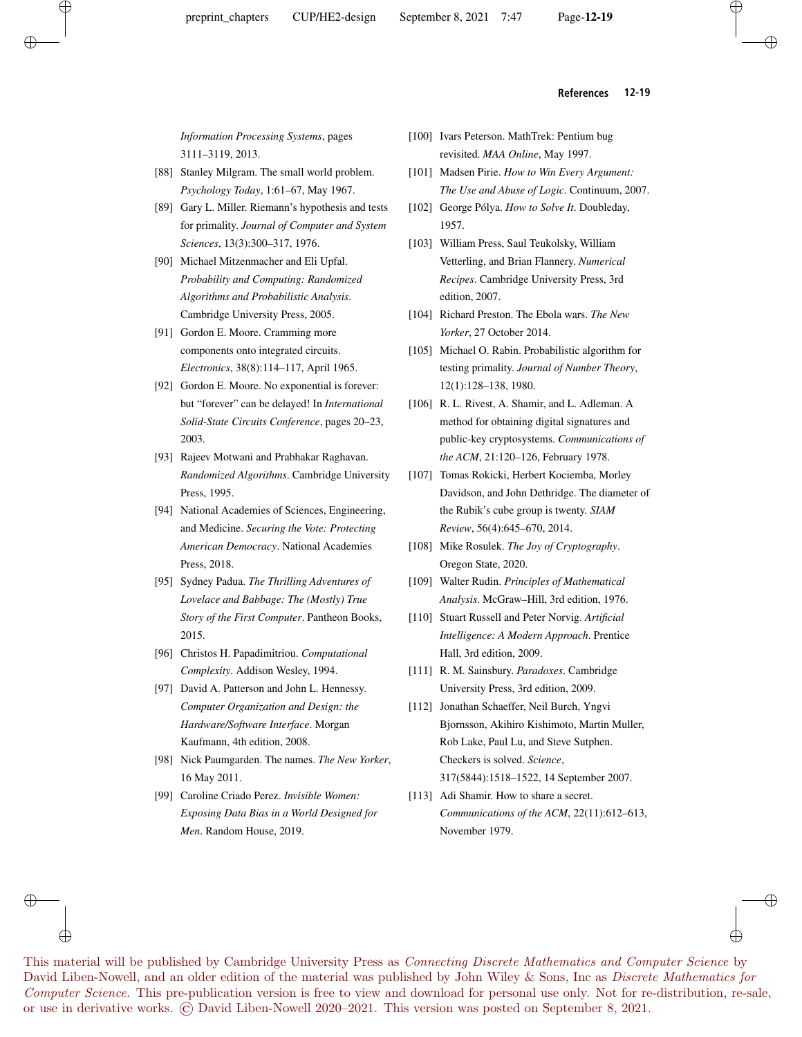#### **References 12-19**

*Information Processing Systems*, pages 3111–3119, 2013.

- [88] Stanley Milgram. The small world problem. *Psychology Today*, 1:61–67, May 1967.
- [89] Gary L. Miller. Riemann's hypothesis and tests for primality. *Journal of Computer and System Sciences*, 13(3):300–317, 1976.
- [90] Michael Mitzenmacher and Eli Upfal. *Probability and Computing: Randomized Algorithms and Probabilistic Analysis*. Cambridge University Press, 2005.
- [91] Gordon E. Moore. Cramming more components onto integrated circuits. *Electronics*, 38(8):114–117, April 1965.
- [92] Gordon E. Moore. No exponential is forever: but "forever" can be delayed! In *International Solid-State Circuits Conference*, pages 20–23, 2003.
- [93] Rajeev Motwani and Prabhakar Raghavan. *Randomized Algorithms*. Cambridge University Press, 1995.
- [94] National Academies of Sciences, Engineering, and Medicine. *Securing the Vote: Protecting American Democracy*. National Academies Press, 2018.
- [95] Sydney Padua. *The Thrilling Adventures of Lovelace and Babbage: The (Mostly) True Story of the First Computer*. Pantheon Books, 2015.
- [96] Christos H. Papadimitriou. *Computational Complexity*. Addison Wesley, 1994.
- [97] David A. Patterson and John L. Hennessy. *Computer Organization and Design: the Hardware/Software Interface*. Morgan Kaufmann, 4th edition, 2008.
- [98] Nick Paumgarden. The names. *The New Yorker*, 16 May 2011.
- [99] Caroline Criado Perez. *Invisible Women: Exposing Data Bias in a World Designed for Men*. Random House, 2019.

⊕

- [100] Ivars Peterson. MathTrek: Pentium bug revisited. *MAA Online*, May 1997.
- [101] Madsen Pirie. *How to Win Every Argument: The Use and Abuse of Logic*. Continuum, 2007.
- [102] George Pólya. *How to Solve It*. Doubleday, 1957.
- [103] William Press, Saul Teukolsky, William Vetterling, and Brian Flannery. *Numerical Recipes*. Cambridge University Press, 3rd edition, 2007.
- [104] Richard Preston. The Ebola wars. *The New Yorker*, 27 October 2014.
- [105] Michael O. Rabin. Probabilistic algorithm for testing primality. *Journal of Number Theory*, 12(1):128–138, 1980.
- [106] R. L. Rivest, A. Shamir, and L. Adleman. A method for obtaining digital signatures and public-key cryptosystems. *Communications of the ACM*, 21:120–126, February 1978.
- [107] Tomas Rokicki, Herbert Kociemba, Morley Davidson, and John Dethridge. The diameter of the Rubik's cube group is twenty. *SIAM Review*, 56(4):645–670, 2014.
- [108] Mike Rosulek. *The Joy of Cryptography*. Oregon State, 2020.
- [109] Walter Rudin. *Principles of Mathematical Analysis*. McGraw–Hill, 3rd edition, 1976.
- [110] Stuart Russell and Peter Norvig. *Artificial Intelligence: A Modern Approach*. Prentice Hall, 3rd edition, 2009.
- [111] R. M. Sainsbury. *Paradoxes*. Cambridge University Press, 3rd edition, 2009.
- [112] Jonathan Schaeffer, Neil Burch, Yngvi Bjornsson, Akihiro Kishimoto, Martin Muller, Rob Lake, Paul Lu, and Steve Sutphen. Checkers is solved. *Science*, 317(5844):1518–1522, 14 September 2007.
- [113] Adi Shamir. How to share a secret. *Communications of the ACM*, 22(11):612–613, November 1979.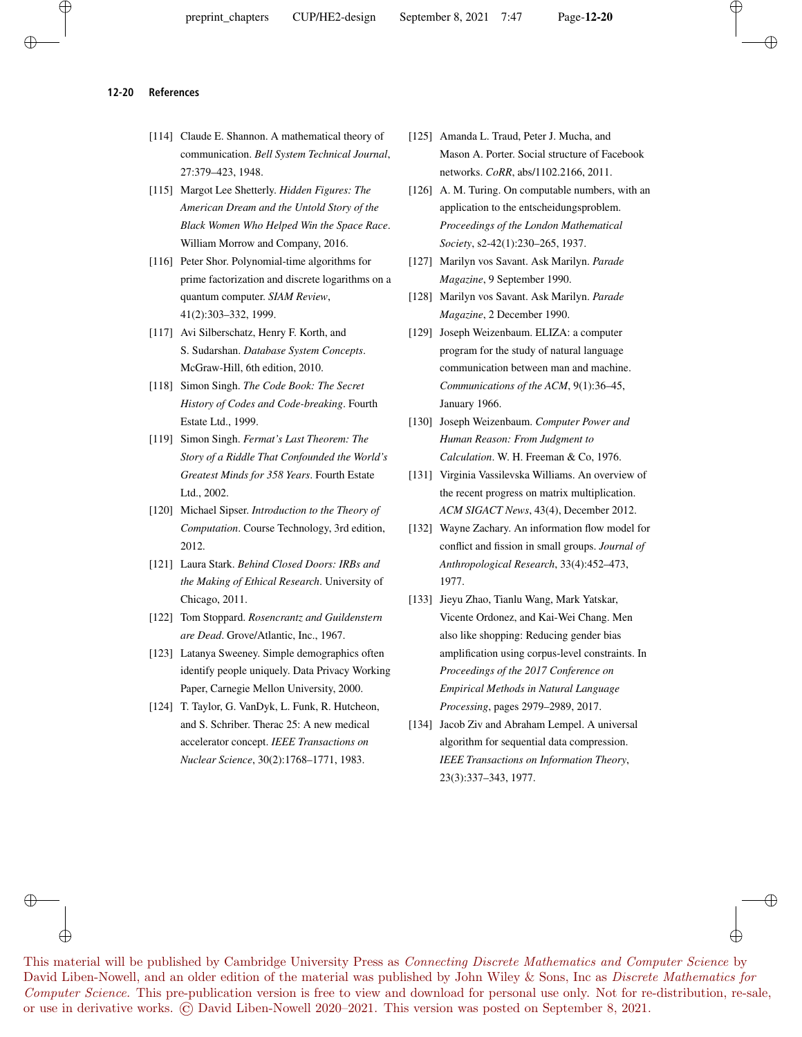#### **12-20 References**

- [114] Claude E. Shannon. A mathematical theory of communication. *Bell System Technical Journal*, 27:379–423, 1948.
- [115] Margot Lee Shetterly. *Hidden Figures: The American Dream and the Untold Story of the Black Women Who Helped Win the Space Race*. William Morrow and Company, 2016.
- [116] Peter Shor. Polynomial-time algorithms for prime factorization and discrete logarithms on a quantum computer. *SIAM Review*, 41(2):303–332, 1999.
- [117] Avi Silberschatz, Henry F. Korth, and S. Sudarshan. *Database System Concepts*. McGraw-Hill, 6th edition, 2010.
- [118] Simon Singh. *The Code Book: The Secret History of Codes and Code-breaking*. Fourth Estate Ltd., 1999.
- [119] Simon Singh. *Fermat's Last Theorem: The Story of a Riddle That Confounded the World's Greatest Minds for 358 Years*. Fourth Estate Ltd., 2002.
- [120] Michael Sipser. *Introduction to the Theory of Computation*. Course Technology, 3rd edition, 2012.
- [121] Laura Stark. *Behind Closed Doors: IRBs and the Making of Ethical Research*. University of Chicago, 2011.
- [122] Tom Stoppard. *Rosencrantz and Guildenstern are Dead*. Grove/Atlantic, Inc., 1967.
- [123] Latanya Sweeney. Simple demographics often identify people uniquely. Data Privacy Working Paper, Carnegie Mellon University, 2000.
- [124] T. Taylor, G. VanDyk, L. Funk, R. Hutcheon, and S. Schriber. Therac 25: A new medical accelerator concept. *IEEE Transactions on Nuclear Science*, 30(2):1768–1771, 1983.

⊕

or use in derivative works. © David Liben-Nowell 2020–2021. This version was posted on September 8, 2021.

- [125] Amanda L. Traud, Peter J. Mucha, and Mason A. Porter. Social structure of Facebook networks. *CoRR*, abs/1102.2166, 2011.
- [126] A. M. Turing. On computable numbers, with an application to the entscheidungsproblem. *Proceedings of the London Mathematical Society*, s2-42(1):230–265, 1937.
- [127] Marilyn vos Savant. Ask Marilyn. *Parade Magazine*, 9 September 1990.
- [128] Marilyn vos Savant. Ask Marilyn. *Parade Magazine*, 2 December 1990.
- [129] Joseph Weizenbaum. ELIZA: a computer program for the study of natural language communication between man and machine. *Communications of the ACM*, 9(1):36–45, January 1966.
- [130] Joseph Weizenbaum. *Computer Power and Human Reason: From Judgment to Calculation*. W. H. Freeman & Co, 1976.
- [131] Virginia Vassilevska Williams. An overview of the recent progress on matrix multiplication. *ACM SIGACT News*, 43(4), December 2012.
- [132] Wayne Zachary. An information flow model for conflict and fission in small groups. *Journal of Anthropological Research*, 33(4):452–473, 1977.
- [133] Jieyu Zhao, Tianlu Wang, Mark Yatskar, Vicente Ordonez, and Kai-Wei Chang. Men also like shopping: Reducing gender bias amplification using corpus-level constraints. In *Proceedings of the 2017 Conference on Empirical Methods in Natural Language Processing*, pages 2979–2989, 2017.
- [134] Jacob Ziv and Abraham Lempel. A universal algorithm for sequential data compression. *IEEE Transactions on Information Theory*, 23(3):337–343, 1977.

This material will be published by Cambridge University Press as Connecting Discrete Mathematics and Computer Science by David Liben-Nowell, and an older edition of the material was published by John Wiley & Sons, Inc as *Discrete Mathematics for* Computer Science. This pre-publication version is free to view and download for personal use only. Not for re-distribution, re-sale,